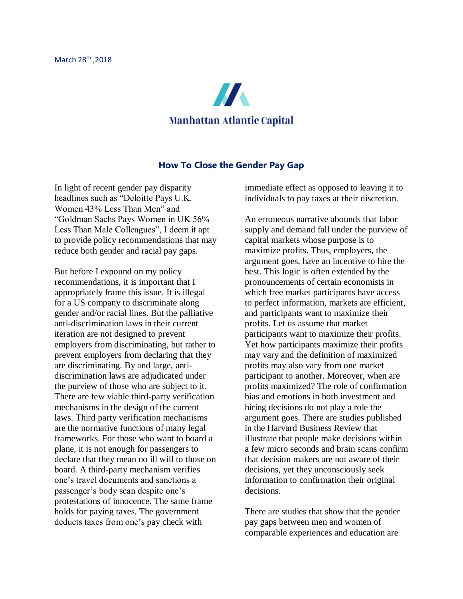

## **How To Close the Gender Pay Gap**

In light of recent gender pay disparity headlines such as "Deloitte Pays U.K. Women 43% Less Than Men" and "Goldman Sachs Pays Women in UK 56% Less Than Male Colleagues", I deem it apt to provide policy recommendations that may reduce both gender and racial pay gaps.

But before I expound on my policy recommendations, it is important that I appropriately frame this issue. It is illegal for a US company to discriminate along gender and/or racial lines. But the palliative anti-discrimination laws in their current iteration are not designed to prevent employers from discriminating, but rather to prevent employers from declaring that they are discriminating. By and large, antidiscrimination laws are adjudicated under the purview of those who are subject to it. There are few viable third-party verification mechanisms in the design of the current laws. Third party verification mechanisms are the normative functions of many legal frameworks. For those who want to board a plane, it is not enough for passengers to declare that they mean no ill will to those on board. A third-party mechanism verifies one's travel documents and sanctions a passenger's body scan despite one's protestations of innocence. The same frame holds for paying taxes. The government deducts taxes from one's pay check with

immediate effect as opposed to leaving it to individuals to pay taxes at their discretion.

An erroneous narrative abounds that labor supply and demand fall under the purview of capital markets whose purpose is to maximize profits. Thus, employers, the argument goes, have an incentive to hire the best. This logic is often extended by the pronouncements of certain economists in which free market participants have access to perfect information, markets are efficient, and participants want to maximize their profits. Let us assume that market participants want to maximize their profits. Yet how participants maximize their profits may vary and the definition of maximized profits may also vary from one market participant to another. Moreover, when are profits maximized? The role of confirmation bias and emotions in both investment and hiring decisions do not play a role the argument goes. There are studies published in the Harvard Business Review that illustrate that people make decisions within a few micro seconds and brain scans confirm that decision makers are not aware of their decisions, yet they unconsciously seek information to confirmation their original decisions.

There are studies that show that the gender pay gaps between men and women of comparable experiences and education are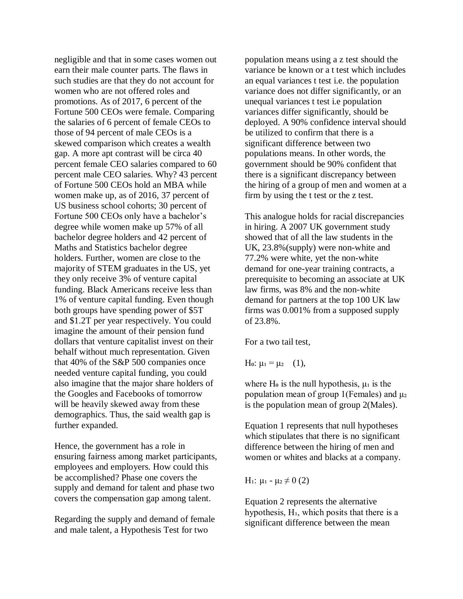negligible and that in some cases women out earn their male counter parts. The flaws in such studies are that they do not account for women who are not offered roles and promotions. As of 2017, 6 percent of the Fortune 500 CEOs were female. Comparing the salaries of 6 percent of female CEOs to those of 94 percent of male CEOs is a skewed comparison which creates a wealth gap. A more apt contrast will be circa 40 percent female CEO salaries compared to 60 percent male CEO salaries. Why? 43 percent of Fortune 500 CEOs hold an MBA while women make up, as of 2016, 37 percent of US business school cohorts; 30 percent of Fortune 500 CEOs only have a bachelor's degree while women make up 57% of all bachelor degree holders and 42 percent of Maths and Statistics bachelor degree holders. Further, women are close to the majority of STEM graduates in the US, yet they only receive 3% of venture capital funding. Black Americans receive less than 1% of venture capital funding. Even though both groups have spending power of \$5T and \$1.2T per year respectively. You could imagine the amount of their pension fund dollars that venture capitalist invest on their behalf without much representation. Given that 40% of the S&P 500 companies once needed venture capital funding, you could also imagine that the major share holders of the Googles and Facebooks of tomorrow will be heavily skewed away from these demographics. Thus, the said wealth gap is further expanded.

Hence, the government has a role in ensuring fairness among market participants, employees and employers. How could this be accomplished? Phase one covers the supply and demand for talent and phase two covers the compensation gap among talent.

Regarding the supply and demand of female and male talent, a Hypothesis Test for two

population means using a z test should the variance be known or a t test which includes an equal variances t test i.e. the population variance does not differ significantly, or an unequal variances t test i.e population variances differ significantly, should be deployed. A 90% confidence interval should be utilized to confirm that there is a significant difference between two populations means. In other words, the government should be 90% confident that there is a significant discrepancy between the hiring of a group of men and women at a firm by using the t test or the z test.

This analogue holds for racial discrepancies in hiring. A 2007 UK government study showed that of all the law students in the UK, 23.8%(supply) were non-white and 77.2% were white, yet the non-white demand for one-year training contracts, a prerequisite to becoming an associate at UK law firms, was 8% and the non-white demand for partners at the top 100 UK law firms was 0.001% from a supposed supply of 23.8%.

For a two tail test,

H<sub>o</sub>:  $\mu_1 = \mu_2$  (1),

where H $\sigma$  is the null hypothesis,  $\mu_1$  is the population mean of group 1(Females) and  $\mu_2$ is the population mean of group 2(Males).

Equation 1 represents that null hypotheses which stipulates that there is no significant difference between the hiring of men and women or whites and blacks at a company.

H<sub>1</sub>: μ<sub>1</sub> - μ<sub>2</sub>  $\neq$  0 (2)

Equation 2 represents the alternative hypothesis, H<sub>1</sub>, which posits that there is a significant difference between the mean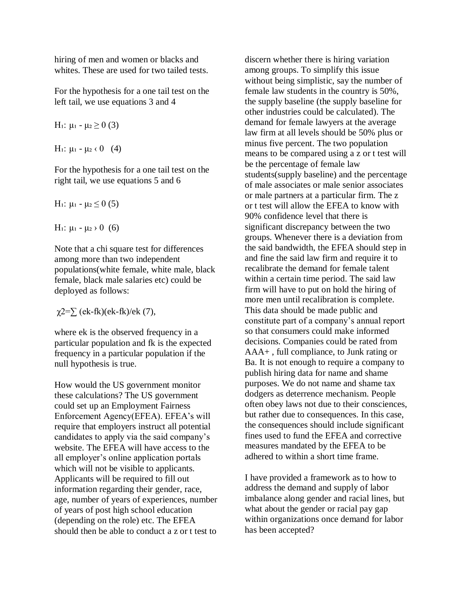hiring of men and women or blacks and whites. These are used for two tailed tests.

For the hypothesis for a one tail test on the left tail, we use equations 3 and 4

$$
H_1: \, \mu_1 - \mu_2 \geq 0 \ (3)
$$

H<sub>1</sub>:  $\mu_1 - \mu_2 \cdot 0 \quad (4)$ 

For the hypothesis for a one tail test on the right tail, we use equations 5 and 6

H<sub>1</sub>: μ<sub>1</sub> - μ<sub>2</sub>  $\leq$  0 (5)

H<sub>1</sub>:  $\mu_1 - \mu_2 > 0$  (6)

Note that a chi square test for differences among more than two independent populations(white female, white male, black female, black male salaries etc) could be deployed as follows:

 $\chi$ 2= $\sum$  (ek-fk)(ek-fk)/ek (7),

where ek is the observed frequency in a particular population and fk is the expected frequency in a particular population if the null hypothesis is true.

How would the US government monitor these calculations? The US government could set up an Employment Fairness Enforcement Agency(EFEA). EFEA's will require that employers instruct all potential candidates to apply via the said company's website. The EFEA will have access to the all employer's online application portals which will not be visible to applicants. Applicants will be required to fill out information regarding their gender, race, age, number of years of experiences, number of years of post high school education (depending on the role) etc. The EFEA should then be able to conduct a z or t test to

discern whether there is hiring variation among groups. To simplify this issue without being simplistic, say the number of female law students in the country is 50%, the supply baseline (the supply baseline for other industries could be calculated). The demand for female lawyers at the average law firm at all levels should be 50% plus or minus five percent. The two population means to be compared using a z or t test will be the percentage of female law students(supply baseline) and the percentage of male associates or male senior associates or male partners at a particular firm. The z or t test will allow the EFEA to know with 90% confidence level that there is significant discrepancy between the two groups. Whenever there is a deviation from the said bandwidth, the EFEA should step in and fine the said law firm and require it to recalibrate the demand for female talent within a certain time period. The said law firm will have to put on hold the hiring of more men until recalibration is complete. This data should be made public and constitute part of a company's annual report so that consumers could make informed decisions. Companies could be rated from AAA+ , full compliance, to Junk rating or Ba. It is not enough to require a company to publish hiring data for name and shame purposes. We do not name and shame tax dodgers as deterrence mechanism. People often obey laws not due to their consciences, but rather due to consequences. In this case, the consequences should include significant fines used to fund the EFEA and corrective measures mandated by the EFEA to be adhered to within a short time frame.

I have provided a framework as to how to address the demand and supply of labor imbalance along gender and racial lines, but what about the gender or racial pay gap within organizations once demand for labor has been accepted?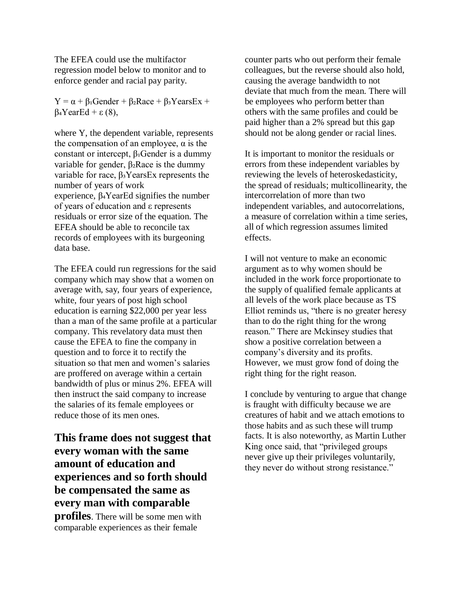The EFEA could use the multifactor regression model below to monitor and to enforce gender and racial pay parity.

 $Y = \alpha + \beta_1$ Gender +  $\beta_2$ Race +  $\beta_3$ YearsEx +  $β$ <sub>4</sub>YearEd + ε (8),

where Y, the dependent variable, represents the compensation of an employee,  $\alpha$  is the constant or intercept,  $β₁Gender$  is a dummy variable for gender,  $β_2$ Race is the dummy variable for race,  $β_3YearsEx$  represents the number of years of work experience, β<sub>4</sub>YearEd signifies the number of years of education and ε represents residuals or error size of the equation. The EFEA should be able to reconcile tax records of employees with its burgeoning data base.

The EFEA could run regressions for the said company which may show that a women on average with, say, four years of experience, white, four years of post high school education is earning \$22,000 per year less than a man of the same profile at a particular company. This revelatory data must then cause the EFEA to fine the company in question and to force it to rectify the situation so that men and women's salaries are proffered on average within a certain bandwidth of plus or minus 2%. EFEA will then instruct the said company to increase the salaries of its female employees or reduce those of its men ones.

**This frame does not suggest that every woman with the same amount of education and experiences and so forth should be compensated the same as every man with comparable profiles**. There will be some men with comparable experiences as their female

counter parts who out perform their female colleagues, but the reverse should also hold, causing the average bandwidth to not deviate that much from the mean. There will be employees who perform better than others with the same profiles and could be paid higher than a 2% spread but this gap should not be along gender or racial lines.

It is important to monitor the residuals or errors from these independent variables by reviewing the levels of heteroskedasticity, the spread of residuals; multicollinearity, the intercorrelation of more than two independent variables, and autocorrelations, a measure of correlation within a time series, all of which regression assumes limited effects.

I will not venture to make an economic argument as to why women should be included in the work force proportionate to the supply of qualified female applicants at all levels of the work place because as TS Elliot reminds us, "there is no greater heresy than to do the right thing for the wrong reason." There are Mckinsey studies that show a positive correlation between a company's diversity and its profits. However, we must grow fond of doing the right thing for the right reason.

I conclude by venturing to argue that change is fraught with difficulty because we are creatures of habit and we attach emotions to those habits and as such these will trump facts. It is also noteworthy, as Martin Luther King once said, that "privileged groups never give up their privileges voluntarily, they never do without strong resistance."